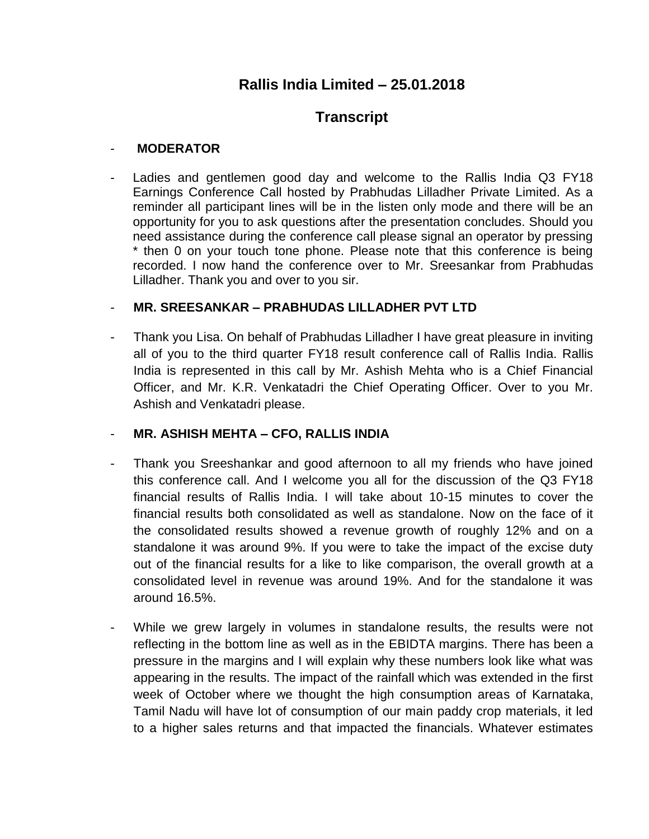# **Rallis India Limited – 25.01.2018**

# **Transcript**

#### - **MODERATOR**

Ladies and gentlemen good day and welcome to the Rallis India Q3 FY18 Earnings Conference Call hosted by Prabhudas Lilladher Private Limited. As a reminder all participant lines will be in the listen only mode and there will be an opportunity for you to ask questions after the presentation concludes. Should you need assistance during the conference call please signal an operator by pressing \* then 0 on your touch tone phone. Please note that this conference is being recorded. I now hand the conference over to Mr. Sreesankar from Prabhudas Lilladher. Thank you and over to you sir.

### - **MR. SREESANKAR – PRABHUDAS LILLADHER PVT LTD**

Thank you Lisa. On behalf of Prabhudas Lilladher I have great pleasure in inviting all of you to the third quarter FY18 result conference call of Rallis India. Rallis India is represented in this call by Mr. Ashish Mehta who is a Chief Financial Officer, and Mr. K.R. Venkatadri the Chief Operating Officer. Over to you Mr. Ashish and Venkatadri please.

## - **MR. ASHISH MEHTA – CFO, RALLIS INDIA**

- Thank you Sreeshankar and good afternoon to all my friends who have joined this conference call. And I welcome you all for the discussion of the Q3 FY18 financial results of Rallis India. I will take about 10-15 minutes to cover the financial results both consolidated as well as standalone. Now on the face of it the consolidated results showed a revenue growth of roughly 12% and on a standalone it was around 9%. If you were to take the impact of the excise duty out of the financial results for a like to like comparison, the overall growth at a consolidated level in revenue was around 19%. And for the standalone it was around 16.5%.
- While we grew largely in volumes in standalone results, the results were not reflecting in the bottom line as well as in the EBIDTA margins. There has been a pressure in the margins and I will explain why these numbers look like what was appearing in the results. The impact of the rainfall which was extended in the first week of October where we thought the high consumption areas of Karnataka, Tamil Nadu will have lot of consumption of our main paddy crop materials, it led to a higher sales returns and that impacted the financials. Whatever estimates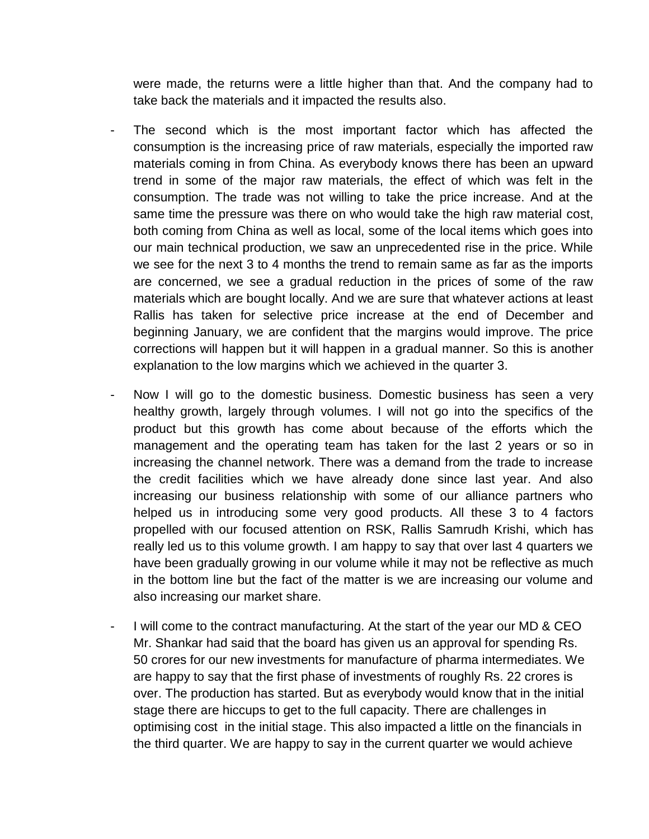were made, the returns were a little higher than that. And the company had to take back the materials and it impacted the results also.

- The second which is the most important factor which has affected the consumption is the increasing price of raw materials, especially the imported raw materials coming in from China. As everybody knows there has been an upward trend in some of the major raw materials, the effect of which was felt in the consumption. The trade was not willing to take the price increase. And at the same time the pressure was there on who would take the high raw material cost, both coming from China as well as local, some of the local items which goes into our main technical production, we saw an unprecedented rise in the price. While we see for the next 3 to 4 months the trend to remain same as far as the imports are concerned, we see a gradual reduction in the prices of some of the raw materials which are bought locally. And we are sure that whatever actions at least Rallis has taken for selective price increase at the end of December and beginning January, we are confident that the margins would improve. The price corrections will happen but it will happen in a gradual manner. So this is another explanation to the low margins which we achieved in the quarter 3.
- Now I will go to the domestic business. Domestic business has seen a very healthy growth, largely through volumes. I will not go into the specifics of the product but this growth has come about because of the efforts which the management and the operating team has taken for the last 2 years or so in increasing the channel network. There was a demand from the trade to increase the credit facilities which we have already done since last year. And also increasing our business relationship with some of our alliance partners who helped us in introducing some very good products. All these 3 to 4 factors propelled with our focused attention on RSK, Rallis Samrudh Krishi, which has really led us to this volume growth. I am happy to say that over last 4 quarters we have been gradually growing in our volume while it may not be reflective as much in the bottom line but the fact of the matter is we are increasing our volume and also increasing our market share.
- I will come to the contract manufacturing. At the start of the year our MD & CEO Mr. Shankar had said that the board has given us an approval for spending Rs. 50 crores for our new investments for manufacture of pharma intermediates. We are happy to say that the first phase of investments of roughly Rs. 22 crores is over. The production has started. But as everybody would know that in the initial stage there are hiccups to get to the full capacity. There are challenges in optimising cost in the initial stage. This also impacted a little on the financials in the third quarter. We are happy to say in the current quarter we would achieve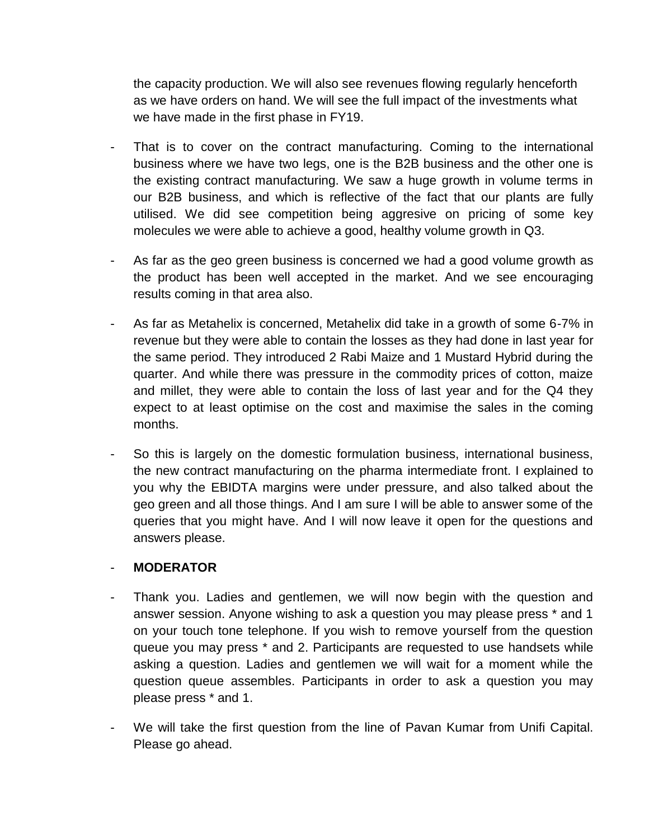the capacity production. We will also see revenues flowing regularly henceforth as we have orders on hand. We will see the full impact of the investments what we have made in the first phase in FY19.

- That is to cover on the contract manufacturing. Coming to the international business where we have two legs, one is the B2B business and the other one is the existing contract manufacturing. We saw a huge growth in volume terms in our B2B business, and which is reflective of the fact that our plants are fully utilised. We did see competition being aggresive on pricing of some key molecules we were able to achieve a good, healthy volume growth in Q3.
- As far as the geo green business is concerned we had a good volume growth as the product has been well accepted in the market. And we see encouraging results coming in that area also.
- As far as Metahelix is concerned, Metahelix did take in a growth of some 6-7% in revenue but they were able to contain the losses as they had done in last year for the same period. They introduced 2 Rabi Maize and 1 Mustard Hybrid during the quarter. And while there was pressure in the commodity prices of cotton, maize and millet, they were able to contain the loss of last year and for the Q4 they expect to at least optimise on the cost and maximise the sales in the coming months.
- So this is largely on the domestic formulation business, international business, the new contract manufacturing on the pharma intermediate front. I explained to you why the EBIDTA margins were under pressure, and also talked about the geo green and all those things. And I am sure I will be able to answer some of the queries that you might have. And I will now leave it open for the questions and answers please.

#### - **MODERATOR**

- Thank you. Ladies and gentlemen, we will now begin with the question and answer session. Anyone wishing to ask a question you may please press \* and 1 on your touch tone telephone. If you wish to remove yourself from the question queue you may press \* and 2. Participants are requested to use handsets while asking a question. Ladies and gentlemen we will wait for a moment while the question queue assembles. Participants in order to ask a question you may please press \* and 1.
- We will take the first question from the line of Pavan Kumar from Unifi Capital. Please go ahead.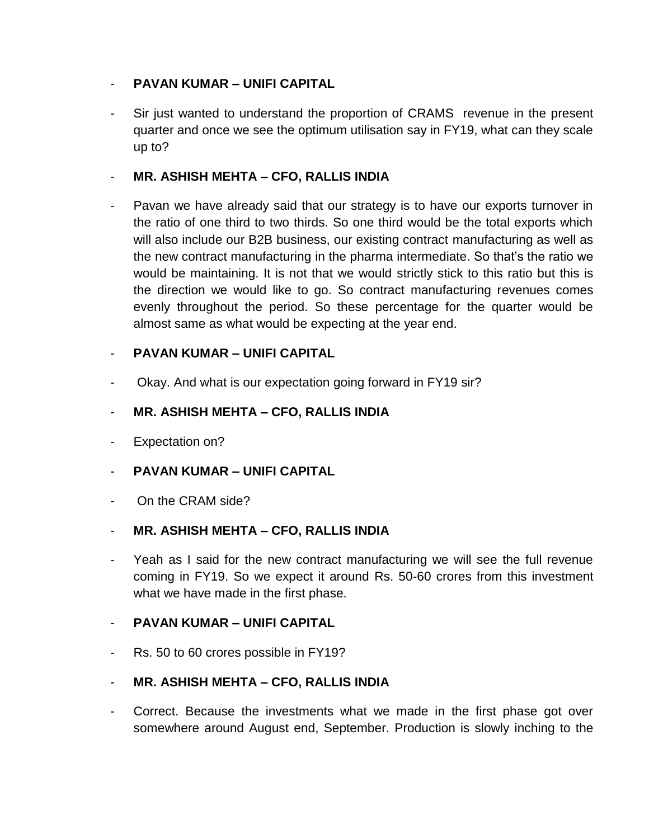## - **PAVAN KUMAR – UNIFI CAPITAL**

- Sir just wanted to understand the proportion of CRAMS revenue in the present quarter and once we see the optimum utilisation say in FY19, what can they scale up to?

### - **MR. ASHISH MEHTA – CFO, RALLIS INDIA**

Pavan we have already said that our strategy is to have our exports turnover in the ratio of one third to two thirds. So one third would be the total exports which will also include our B2B business, our existing contract manufacturing as well as the new contract manufacturing in the pharma intermediate. So that's the ratio we would be maintaining. It is not that we would strictly stick to this ratio but this is the direction we would like to go. So contract manufacturing revenues comes evenly throughout the period. So these percentage for the quarter would be almost same as what would be expecting at the year end.

### - **PAVAN KUMAR – UNIFI CAPITAL**

Okay. And what is our expectation going forward in FY19 sir?

### - **MR. ASHISH MEHTA – CFO, RALLIS INDIA**

- Expectation on?
- **PAVAN KUMAR – UNIFI CAPITAL**
- On the CRAM side?

#### - **MR. ASHISH MEHTA – CFO, RALLIS INDIA**

Yeah as I said for the new contract manufacturing we will see the full revenue coming in FY19. So we expect it around Rs. 50-60 crores from this investment what we have made in the first phase.

#### - **PAVAN KUMAR – UNIFI CAPITAL**

- Rs. 50 to 60 crores possible in FY19?

## - **MR. ASHISH MEHTA – CFO, RALLIS INDIA**

- Correct. Because the investments what we made in the first phase got over somewhere around August end, September. Production is slowly inching to the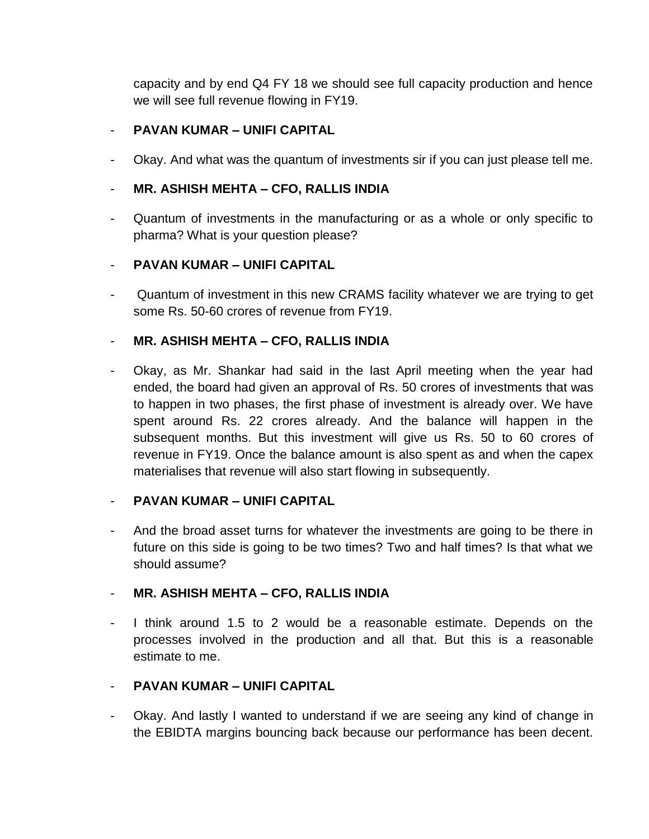capacity and by end Q4 FY 18 we should see full capacity production and hence we will see full revenue flowing in FY19.

### - **PAVAN KUMAR – UNIFI CAPITAL**

- Okay. And what was the quantum of investments sir if you can just please tell me.

## - **MR. ASHISH MEHTA – CFO, RALLIS INDIA**

- Quantum of investments in the manufacturing or as a whole or only specific to pharma? What is your question please?

## - **PAVAN KUMAR – UNIFI CAPITAL**

Quantum of investment in this new CRAMS facility whatever we are trying to get some Rs. 50-60 crores of revenue from FY19.

# - **MR. ASHISH MEHTA – CFO, RALLIS INDIA**

- Okay, as Mr. Shankar had said in the last April meeting when the year had ended, the board had given an approval of Rs. 50 crores of investments that was to happen in two phases, the first phase of investment is already over. We have spent around Rs. 22 crores already. And the balance will happen in the subsequent months. But this investment will give us Rs. 50 to 60 crores of revenue in FY19. Once the balance amount is also spent as and when the capex materialises that revenue will also start flowing in subsequently.

## - **PAVAN KUMAR – UNIFI CAPITAL**

- And the broad asset turns for whatever the investments are going to be there in future on this side is going to be two times? Two and half times? Is that what we should assume?

## - **MR. ASHISH MEHTA – CFO, RALLIS INDIA**

- I think around 1.5 to 2 would be a reasonable estimate. Depends on the processes involved in the production and all that. But this is a reasonable estimate to me.

## - **PAVAN KUMAR – UNIFI CAPITAL**

- Okay. And lastly I wanted to understand if we are seeing any kind of change in the EBIDTA margins bouncing back because our performance has been decent.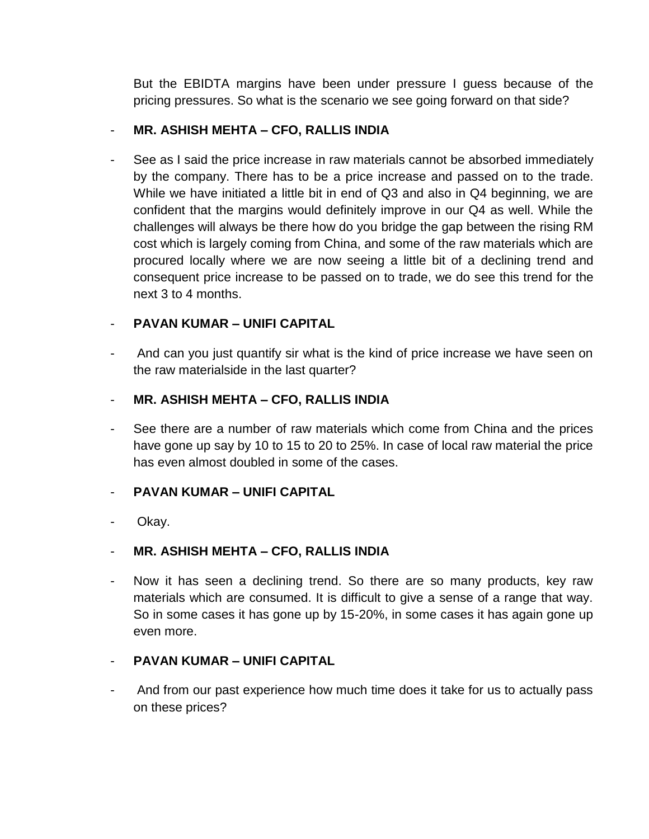But the EBIDTA margins have been under pressure I guess because of the pricing pressures. So what is the scenario we see going forward on that side?

## - **MR. ASHISH MEHTA – CFO, RALLIS INDIA**

See as I said the price increase in raw materials cannot be absorbed immediately by the company. There has to be a price increase and passed on to the trade. While we have initiated a little bit in end of Q3 and also in Q4 beginning, we are confident that the margins would definitely improve in our Q4 as well. While the challenges will always be there how do you bridge the gap between the rising RM cost which is largely coming from China, and some of the raw materials which are procured locally where we are now seeing a little bit of a declining trend and consequent price increase to be passed on to trade, we do see this trend for the next 3 to 4 months.

## - **PAVAN KUMAR – UNIFI CAPITAL**

- And can you just quantify sir what is the kind of price increase we have seen on the raw materialside in the last quarter?
- **MR. ASHISH MEHTA – CFO, RALLIS INDIA**
- See there are a number of raw materials which come from China and the prices have gone up say by 10 to 15 to 20 to 25%. In case of local raw material the price has even almost doubled in some of the cases.

## - **PAVAN KUMAR – UNIFI CAPITAL**

- Okay.

## - **MR. ASHISH MEHTA – CFO, RALLIS INDIA**

Now it has seen a declining trend. So there are so many products, key raw materials which are consumed. It is difficult to give a sense of a range that way. So in some cases it has gone up by 15-20%, in some cases it has again gone up even more.

## - **PAVAN KUMAR – UNIFI CAPITAL**

- And from our past experience how much time does it take for us to actually pass on these prices?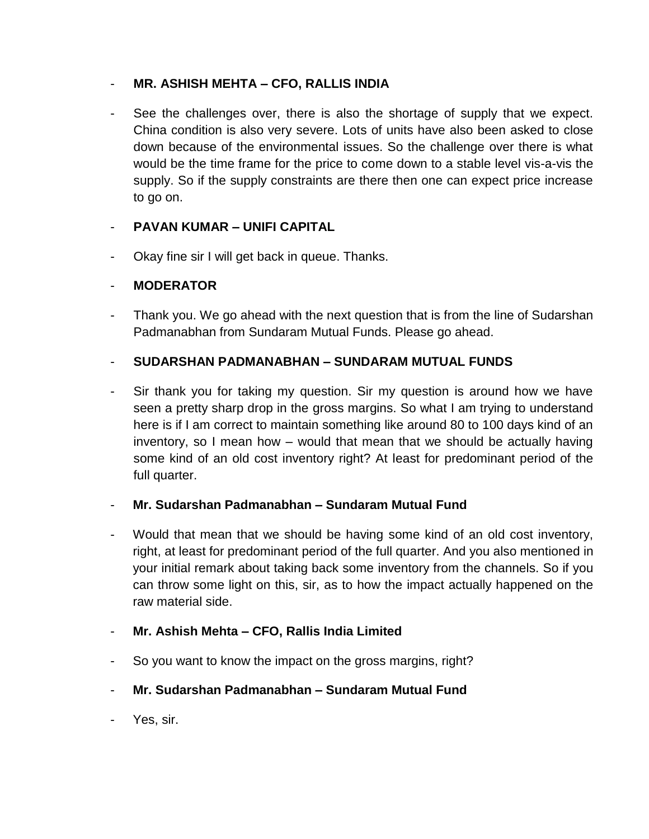### - **MR. ASHISH MEHTA – CFO, RALLIS INDIA**

See the challenges over, there is also the shortage of supply that we expect. China condition is also very severe. Lots of units have also been asked to close down because of the environmental issues. So the challenge over there is what would be the time frame for the price to come down to a stable level vis-a-vis the supply. So if the supply constraints are there then one can expect price increase to go on.

## - **PAVAN KUMAR – UNIFI CAPITAL**

Okay fine sir I will get back in queue. Thanks.

### - **MODERATOR**

Thank you. We go ahead with the next question that is from the line of Sudarshan Padmanabhan from Sundaram Mutual Funds. Please go ahead.

### - **SUDARSHAN PADMANABHAN – SUNDARAM MUTUAL FUNDS**

Sir thank you for taking my question. Sir my question is around how we have seen a pretty sharp drop in the gross margins. So what I am trying to understand here is if I am correct to maintain something like around 80 to 100 days kind of an inventory, so I mean how – would that mean that we should be actually having some kind of an old cost inventory right? At least for predominant period of the full quarter.

## - **Mr. Sudarshan Padmanabhan – Sundaram Mutual Fund**

- Would that mean that we should be having some kind of an old cost inventory, right, at least for predominant period of the full quarter. And you also mentioned in your initial remark about taking back some inventory from the channels. So if you can throw some light on this, sir, as to how the impact actually happened on the raw material side.
- **Mr. Ashish Mehta – CFO, Rallis India Limited**
- So you want to know the impact on the gross margins, right?
- **Mr. Sudarshan Padmanabhan – Sundaram Mutual Fund**
- Yes, sir.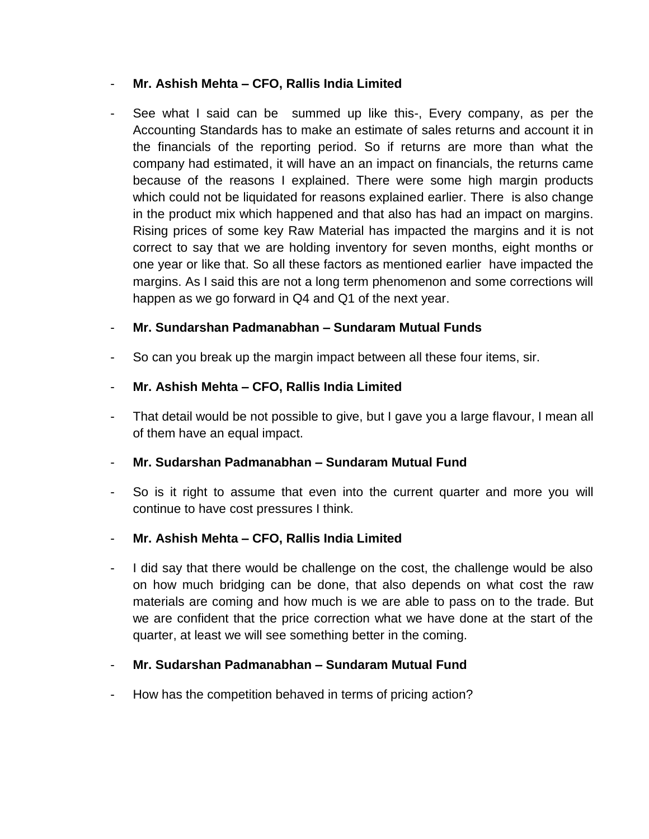### - **Mr. Ashish Mehta – CFO, Rallis India Limited**

See what I said can be summed up like this-, Every company, as per the Accounting Standards has to make an estimate of sales returns and account it in the financials of the reporting period. So if returns are more than what the company had estimated, it will have an an impact on financials, the returns came because of the reasons I explained. There were some high margin products which could not be liquidated for reasons explained earlier. There is also change in the product mix which happened and that also has had an impact on margins. Rising prices of some key Raw Material has impacted the margins and it is not correct to say that we are holding inventory for seven months, eight months or one year or like that. So all these factors as mentioned earlier have impacted the margins. As I said this are not a long term phenomenon and some corrections will happen as we go forward in Q4 and Q1 of the next year.

## - **Mr. Sundarshan Padmanabhan – Sundaram Mutual Funds**

So can you break up the margin impact between all these four items, sir.

## - **Mr. Ashish Mehta – CFO, Rallis India Limited**

That detail would be not possible to give, but I gave you a large flavour, I mean all of them have an equal impact.

## - **Mr. Sudarshan Padmanabhan – Sundaram Mutual Fund**

So is it right to assume that even into the current quarter and more you will continue to have cost pressures I think.

## - **Mr. Ashish Mehta – CFO, Rallis India Limited**

I did say that there would be challenge on the cost, the challenge would be also on how much bridging can be done, that also depends on what cost the raw materials are coming and how much is we are able to pass on to the trade. But we are confident that the price correction what we have done at the start of the quarter, at least we will see something better in the coming.

# - **Mr. Sudarshan Padmanabhan – Sundaram Mutual Fund**

How has the competition behaved in terms of pricing action?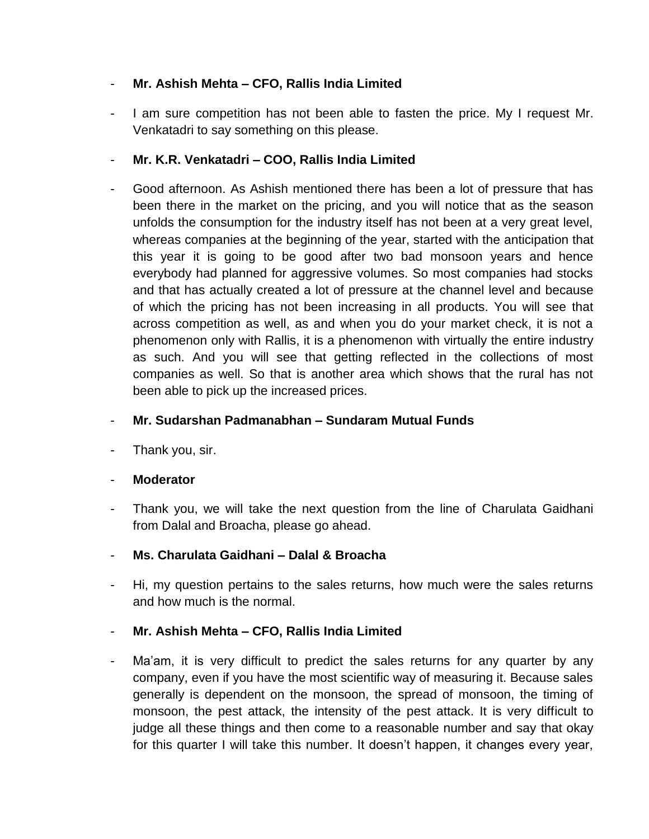# - **Mr. Ashish Mehta – CFO, Rallis India Limited**

- I am sure competition has not been able to fasten the price. My I request Mr. Venkatadri to say something on this please.

# - **Mr. K.R. Venkatadri – COO, Rallis India Limited**

Good afternoon. As Ashish mentioned there has been a lot of pressure that has been there in the market on the pricing, and you will notice that as the season unfolds the consumption for the industry itself has not been at a very great level, whereas companies at the beginning of the year, started with the anticipation that this year it is going to be good after two bad monsoon years and hence everybody had planned for aggressive volumes. So most companies had stocks and that has actually created a lot of pressure at the channel level and because of which the pricing has not been increasing in all products. You will see that across competition as well, as and when you do your market check, it is not a phenomenon only with Rallis, it is a phenomenon with virtually the entire industry as such. And you will see that getting reflected in the collections of most companies as well. So that is another area which shows that the rural has not been able to pick up the increased prices.

# - **Mr. Sudarshan Padmanabhan – Sundaram Mutual Funds**

Thank you, sir.

## - **Moderator**

Thank you, we will take the next question from the line of Charulata Gaidhani from Dalal and Broacha, please go ahead.

## - **Ms. Charulata Gaidhani – Dalal & Broacha**

Hi, my question pertains to the sales returns, how much were the sales returns and how much is the normal.

# - **Mr. Ashish Mehta – CFO, Rallis India Limited**

Ma'am, it is very difficult to predict the sales returns for any quarter by any company, even if you have the most scientific way of measuring it. Because sales generally is dependent on the monsoon, the spread of monsoon, the timing of monsoon, the pest attack, the intensity of the pest attack. It is very difficult to judge all these things and then come to a reasonable number and say that okay for this quarter I will take this number. It doesn't happen, it changes every year,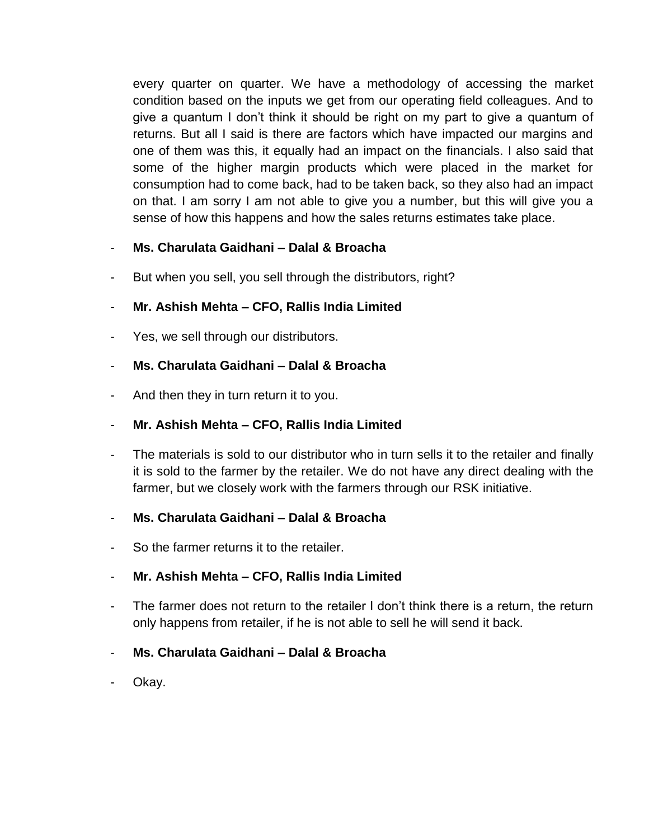every quarter on quarter. We have a methodology of accessing the market condition based on the inputs we get from our operating field colleagues. And to give a quantum I don't think it should be right on my part to give a quantum of returns. But all I said is there are factors which have impacted our margins and one of them was this, it equally had an impact on the financials. I also said that some of the higher margin products which were placed in the market for consumption had to come back, had to be taken back, so they also had an impact on that. I am sorry I am not able to give you a number, but this will give you a sense of how this happens and how the sales returns estimates take place.

## - **Ms. Charulata Gaidhani – Dalal & Broacha**

But when you sell, you sell through the distributors, right?

### - **Mr. Ashish Mehta – CFO, Rallis India Limited**

Yes, we sell through our distributors.

### - **Ms. Charulata Gaidhani – Dalal & Broacha**

And then they in turn return it to you.

#### - **Mr. Ashish Mehta – CFO, Rallis India Limited**

The materials is sold to our distributor who in turn sells it to the retailer and finally it is sold to the farmer by the retailer. We do not have any direct dealing with the farmer, but we closely work with the farmers through our RSK initiative.

#### - **Ms. Charulata Gaidhani – Dalal & Broacha**

So the farmer returns it to the retailer.

## - **Mr. Ashish Mehta – CFO, Rallis India Limited**

- The farmer does not return to the retailer I don't think there is a return, the return only happens from retailer, if he is not able to sell he will send it back.

## - **Ms. Charulata Gaidhani – Dalal & Broacha**

Okay.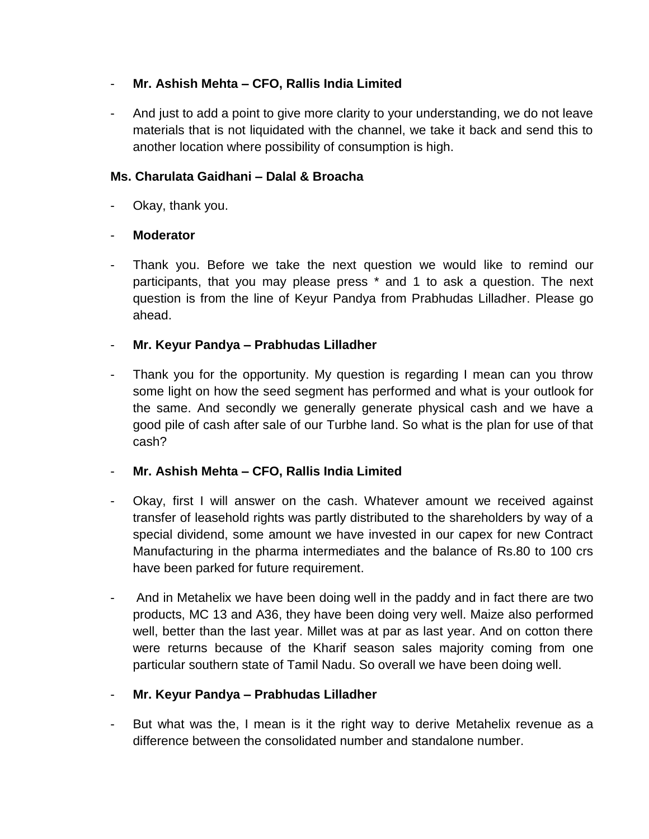# - **Mr. Ashish Mehta – CFO, Rallis India Limited**

- And just to add a point to give more clarity to your understanding, we do not leave materials that is not liquidated with the channel, we take it back and send this to another location where possibility of consumption is high.

# **Ms. Charulata Gaidhani – Dalal & Broacha**

Okay, thank you.

# - **Moderator**

- Thank you. Before we take the next question we would like to remind our participants, that you may please press \* and 1 to ask a question. The next question is from the line of Keyur Pandya from Prabhudas Lilladher. Please go ahead.

# - **Mr. Keyur Pandya – Prabhudas Lilladher**

Thank you for the opportunity. My question is regarding I mean can you throw some light on how the seed segment has performed and what is your outlook for the same. And secondly we generally generate physical cash and we have a good pile of cash after sale of our Turbhe land. So what is the plan for use of that cash?

# - **Mr. Ashish Mehta – CFO, Rallis India Limited**

- Okay, first I will answer on the cash. Whatever amount we received against transfer of leasehold rights was partly distributed to the shareholders by way of a special dividend, some amount we have invested in our capex for new Contract Manufacturing in the pharma intermediates and the balance of Rs.80 to 100 crs have been parked for future requirement.
- And in Metahelix we have been doing well in the paddy and in fact there are two products, MC 13 and A36, they have been doing very well. Maize also performed well, better than the last year. Millet was at par as last year. And on cotton there were returns because of the Kharif season sales majority coming from one particular southern state of Tamil Nadu. So overall we have been doing well.

# - **Mr. Keyur Pandya – Prabhudas Lilladher**

But what was the, I mean is it the right way to derive Metahelix revenue as a difference between the consolidated number and standalone number.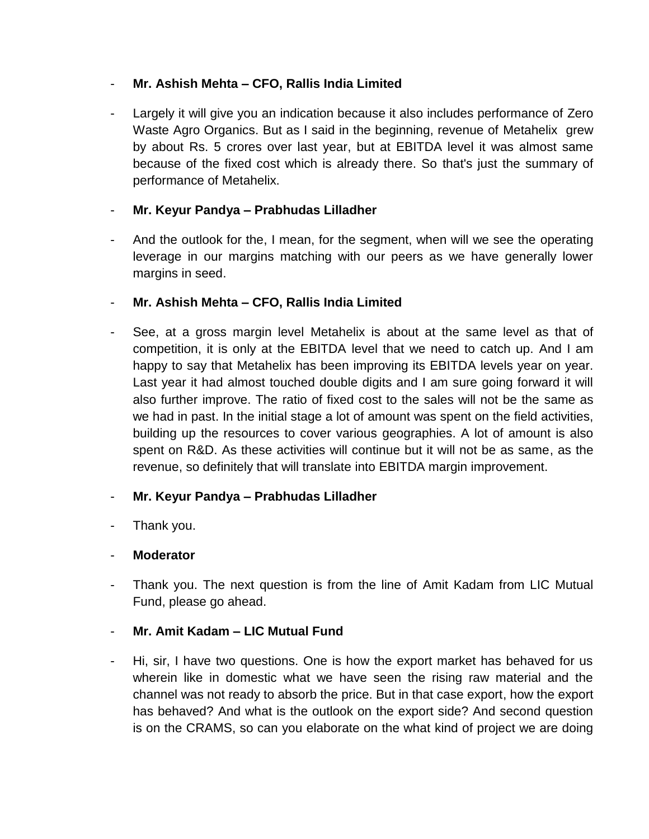## - **Mr. Ashish Mehta – CFO, Rallis India Limited**

Largely it will give you an indication because it also includes performance of Zero Waste Agro Organics. But as I said in the beginning, revenue of Metahelix grew by about Rs. 5 crores over last year, but at EBITDA level it was almost same because of the fixed cost which is already there. So that's just the summary of performance of Metahelix.

# - **Mr. Keyur Pandya – Prabhudas Lilladher**

- And the outlook for the, I mean, for the segment, when will we see the operating leverage in our margins matching with our peers as we have generally lower margins in seed.

# - **Mr. Ashish Mehta – CFO, Rallis India Limited**

See, at a gross margin level Metahelix is about at the same level as that of competition, it is only at the EBITDA level that we need to catch up. And I am happy to say that Metahelix has been improving its EBITDA levels year on year. Last year it had almost touched double digits and I am sure going forward it will also further improve. The ratio of fixed cost to the sales will not be the same as we had in past. In the initial stage a lot of amount was spent on the field activities, building up the resources to cover various geographies. A lot of amount is also spent on R&D. As these activities will continue but it will not be as same, as the revenue, so definitely that will translate into EBITDA margin improvement.

# - **Mr. Keyur Pandya – Prabhudas Lilladher**

Thank you.

# - **Moderator**

Thank you. The next question is from the line of Amit Kadam from LIC Mutual Fund, please go ahead.

# - **Mr. Amit Kadam – LIC Mutual Fund**

- Hi, sir, I have two questions. One is how the export market has behaved for us wherein like in domestic what we have seen the rising raw material and the channel was not ready to absorb the price. But in that case export, how the export has behaved? And what is the outlook on the export side? And second question is on the CRAMS, so can you elaborate on the what kind of project we are doing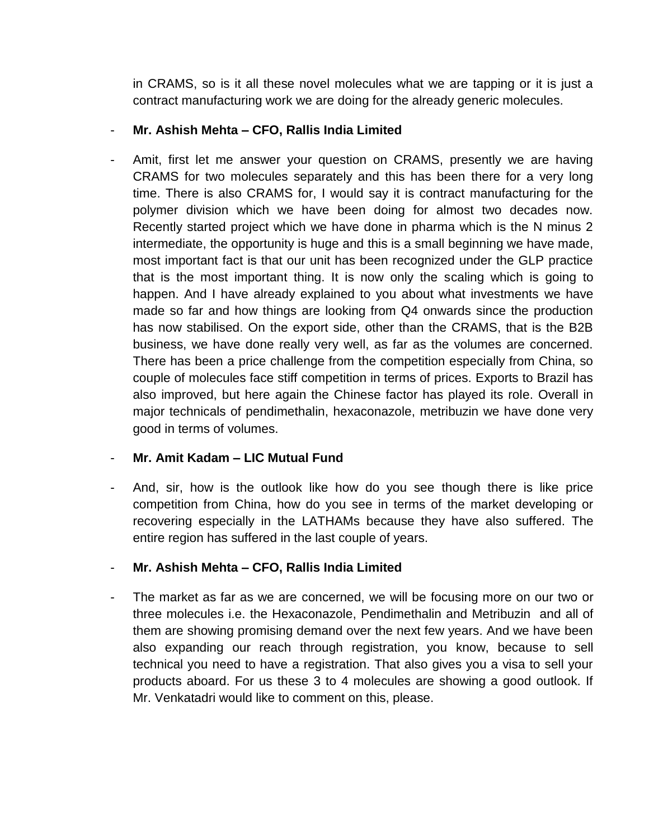in CRAMS, so is it all these novel molecules what we are tapping or it is just a contract manufacturing work we are doing for the already generic molecules.

## - **Mr. Ashish Mehta – CFO, Rallis India Limited**

Amit, first let me answer your question on CRAMS, presently we are having CRAMS for two molecules separately and this has been there for a very long time. There is also CRAMS for, I would say it is contract manufacturing for the polymer division which we have been doing for almost two decades now. Recently started project which we have done in pharma which is the N minus 2 intermediate, the opportunity is huge and this is a small beginning we have made, most important fact is that our unit has been recognized under the GLP practice that is the most important thing. It is now only the scaling which is going to happen. And I have already explained to you about what investments we have made so far and how things are looking from Q4 onwards since the production has now stabilised. On the export side, other than the CRAMS, that is the B2B business, we have done really very well, as far as the volumes are concerned. There has been a price challenge from the competition especially from China, so couple of molecules face stiff competition in terms of prices. Exports to Brazil has also improved, but here again the Chinese factor has played its role. Overall in major technicals of pendimethalin, hexaconazole, metribuzin we have done very good in terms of volumes.

# - **Mr. Amit Kadam – LIC Mutual Fund**

And, sir, how is the outlook like how do you see though there is like price competition from China, how do you see in terms of the market developing or recovering especially in the LATHAMs because they have also suffered. The entire region has suffered in the last couple of years.

# - **Mr. Ashish Mehta – CFO, Rallis India Limited**

The market as far as we are concerned, we will be focusing more on our two or three molecules i.e. the Hexaconazole, Pendimethalin and Metribuzin and all of them are showing promising demand over the next few years. And we have been also expanding our reach through registration, you know, because to sell technical you need to have a registration. That also gives you a visa to sell your products aboard. For us these 3 to 4 molecules are showing a good outlook. If Mr. Venkatadri would like to comment on this, please.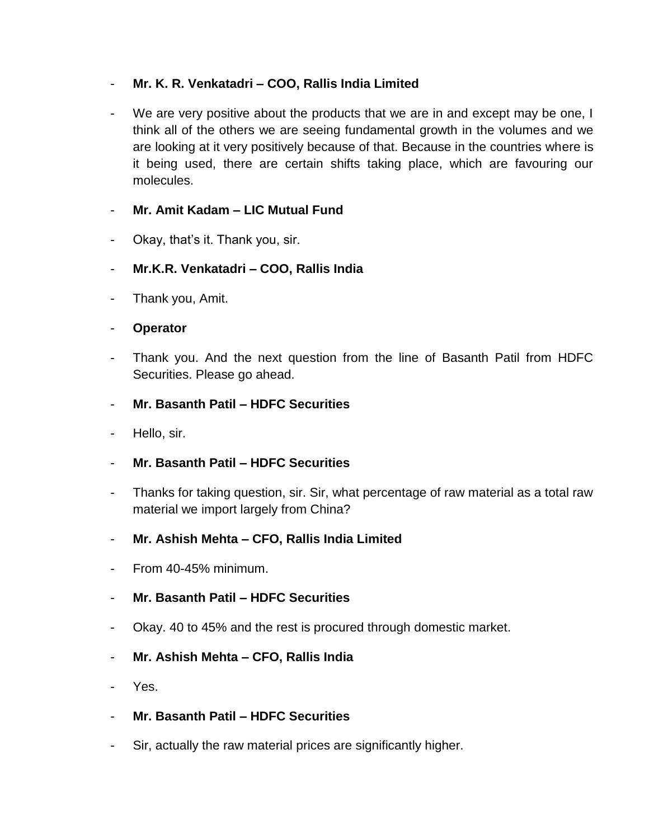# - **Mr. K. R. Venkatadri – COO, Rallis India Limited**

- We are very positive about the products that we are in and except may be one, I think all of the others we are seeing fundamental growth in the volumes and we are looking at it very positively because of that. Because in the countries where is it being used, there are certain shifts taking place, which are favouring our molecules.

# - **Mr. Amit Kadam – LIC Mutual Fund**

- Okay, that's it. Thank you, sir.
- **Mr.K.R. Venkatadri – COO, Rallis India**
- Thank you, Amit.
- **Operator**
- Thank you. And the next question from the line of Basanth Patil from HDFC Securities. Please go ahead.
- **Mr. Basanth Patil – HDFC Securities**
- Hello, sir.
- **Mr. Basanth Patil – HDFC Securities**
- Thanks for taking question, sir. Sir, what percentage of raw material as a total raw material we import largely from China?
- **Mr. Ashish Mehta – CFO, Rallis India Limited**
- From 40-45% minimum.
- **Mr. Basanth Patil – HDFC Securities**
- Okay. 40 to 45% and the rest is procured through domestic market.
- **Mr. Ashish Mehta – CFO, Rallis India**
- Yes.
- **Mr. Basanth Patil – HDFC Securities**
- Sir, actually the raw material prices are significantly higher.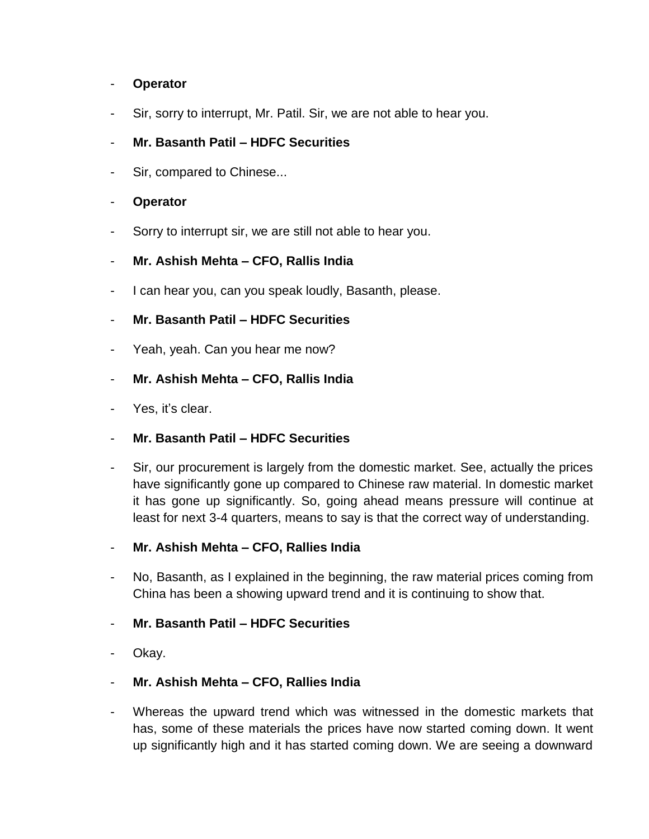### - **Operator**

Sir, sorry to interrupt, Mr. Patil. Sir, we are not able to hear you.

## - **Mr. Basanth Patil – HDFC Securities**

Sir, compared to Chinese...

### - **Operator**

Sorry to interrupt sir, we are still not able to hear you.

### - **Mr. Ashish Mehta – CFO, Rallis India**

I can hear you, can you speak loudly, Basanth, please.

### - **Mr. Basanth Patil – HDFC Securities**

- Yeah, yeah. Can you hear me now?
- **Mr. Ashish Mehta – CFO, Rallis India**
- Yes, it's clear.

#### - **Mr. Basanth Patil – HDFC Securities**

- Sir, our procurement is largely from the domestic market. See, actually the prices have significantly gone up compared to Chinese raw material. In domestic market it has gone up significantly. So, going ahead means pressure will continue at least for next 3-4 quarters, means to say is that the correct way of understanding.
- **Mr. Ashish Mehta – CFO, Rallies India**
- No, Basanth, as I explained in the beginning, the raw material prices coming from China has been a showing upward trend and it is continuing to show that.

## - **Mr. Basanth Patil – HDFC Securities**

Okay.

## - **Mr. Ashish Mehta – CFO, Rallies India**

- Whereas the upward trend which was witnessed in the domestic markets that has, some of these materials the prices have now started coming down. It went up significantly high and it has started coming down. We are seeing a downward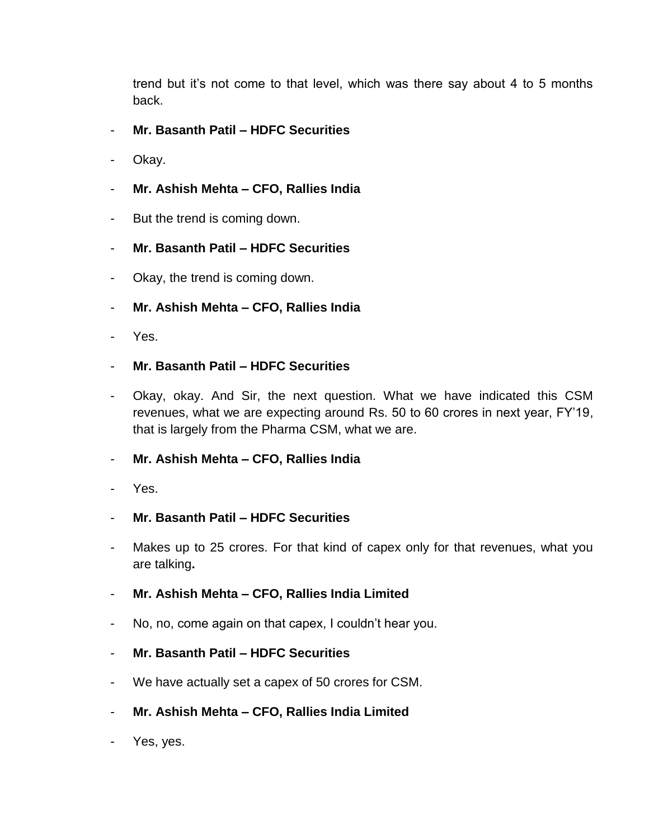trend but it's not come to that level, which was there say about 4 to 5 months back.

- **Mr. Basanth Patil – HDFC Securities**
- Okay.
- **Mr. Ashish Mehta – CFO, Rallies India**
- But the trend is coming down.
- **Mr. Basanth Patil – HDFC Securities**
- Okay, the trend is coming down.
- **Mr. Ashish Mehta – CFO, Rallies India**
- Yes.
- **Mr. Basanth Patil – HDFC Securities**
- Okay, okay. And Sir, the next question. What we have indicated this CSM revenues, what we are expecting around Rs. 50 to 60 crores in next year, FY'19, that is largely from the Pharma CSM, what we are.
- **Mr. Ashish Mehta – CFO, Rallies India**
- Yes.
- **Mr. Basanth Patil – HDFC Securities**
- Makes up to 25 crores. For that kind of capex only for that revenues, what you are talking**.**
- **Mr. Ashish Mehta – CFO, Rallies India Limited**
- No, no, come again on that capex, I couldn't hear you.
- **Mr. Basanth Patil – HDFC Securities**
- We have actually set a capex of 50 crores for CSM.
- **Mr. Ashish Mehta – CFO, Rallies India Limited**
- Yes, yes.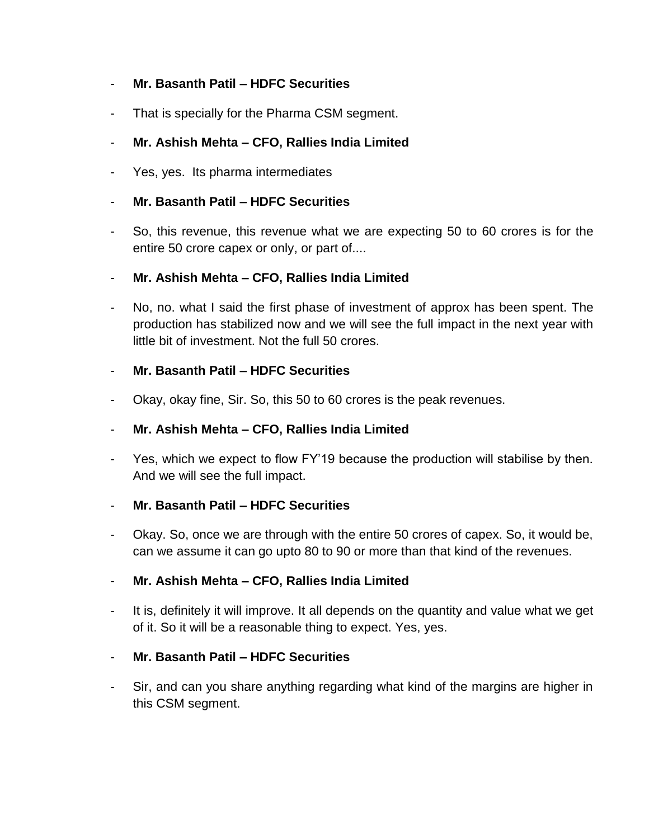## - **Mr. Basanth Patil – HDFC Securities**

- That is specially for the Pharma CSM segment.

### - **Mr. Ashish Mehta – CFO, Rallies India Limited**

Yes, yes. Its pharma intermediates

### - **Mr. Basanth Patil – HDFC Securities**

- So, this revenue, this revenue what we are expecting 50 to 60 crores is for the entire 50 crore capex or only, or part of....
- **Mr. Ashish Mehta – CFO, Rallies India Limited**
- No, no. what I said the first phase of investment of approx has been spent. The production has stabilized now and we will see the full impact in the next year with little bit of investment. Not the full 50 crores.

#### - **Mr. Basanth Patil – HDFC Securities**

Okay, okay fine, Sir. So, this 50 to 60 crores is the peak revenues.

#### - **Mr. Ashish Mehta – CFO, Rallies India Limited**

Yes, which we expect to flow FY'19 because the production will stabilise by then. And we will see the full impact.

#### - **Mr. Basanth Patil – HDFC Securities**

- Okay. So, once we are through with the entire 50 crores of capex. So, it would be, can we assume it can go upto 80 to 90 or more than that kind of the revenues.

#### - **Mr. Ashish Mehta – CFO, Rallies India Limited**

- It is, definitely it will improve. It all depends on the quantity and value what we get of it. So it will be a reasonable thing to expect. Yes, yes.

#### - **Mr. Basanth Patil – HDFC Securities**

Sir, and can you share anything regarding what kind of the margins are higher in this CSM segment.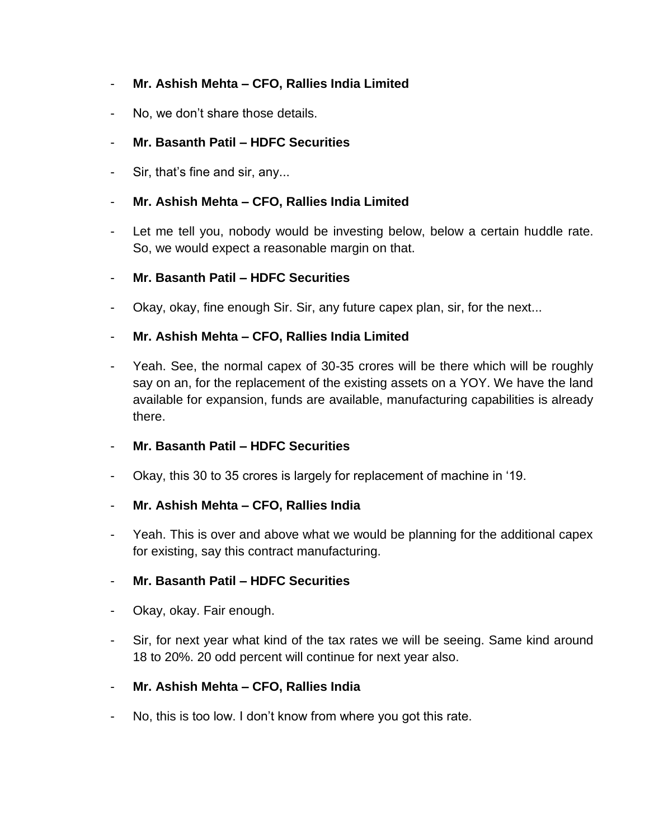# - **Mr. Ashish Mehta – CFO, Rallies India Limited**

- No, we don't share those details.

# - **Mr. Basanth Patil – HDFC Securities**

Sir, that's fine and sir, any...

# - **Mr. Ashish Mehta – CFO, Rallies India Limited**

- Let me tell you, nobody would be investing below, below a certain huddle rate. So, we would expect a reasonable margin on that.

## - **Mr. Basanth Patil – HDFC Securities**

Okay, okay, fine enough Sir. Sir, any future capex plan, sir, for the next...

# - **Mr. Ashish Mehta – CFO, Rallies India Limited**

Yeah. See, the normal capex of 30-35 crores will be there which will be roughly say on an, for the replacement of the existing assets on a YOY. We have the land available for expansion, funds are available, manufacturing capabilities is already there.

## - **Mr. Basanth Patil – HDFC Securities**

Okay, this 30 to 35 crores is largely for replacement of machine in '19.

## - **Mr. Ashish Mehta – CFO, Rallies India**

Yeah. This is over and above what we would be planning for the additional capex for existing, say this contract manufacturing.

## - **Mr. Basanth Patil – HDFC Securities**

- Okay, okay. Fair enough.
- Sir, for next year what kind of the tax rates we will be seeing. Same kind around 18 to 20%. 20 odd percent will continue for next year also.

## - **Mr. Ashish Mehta – CFO, Rallies India**

No, this is too low. I don't know from where you got this rate.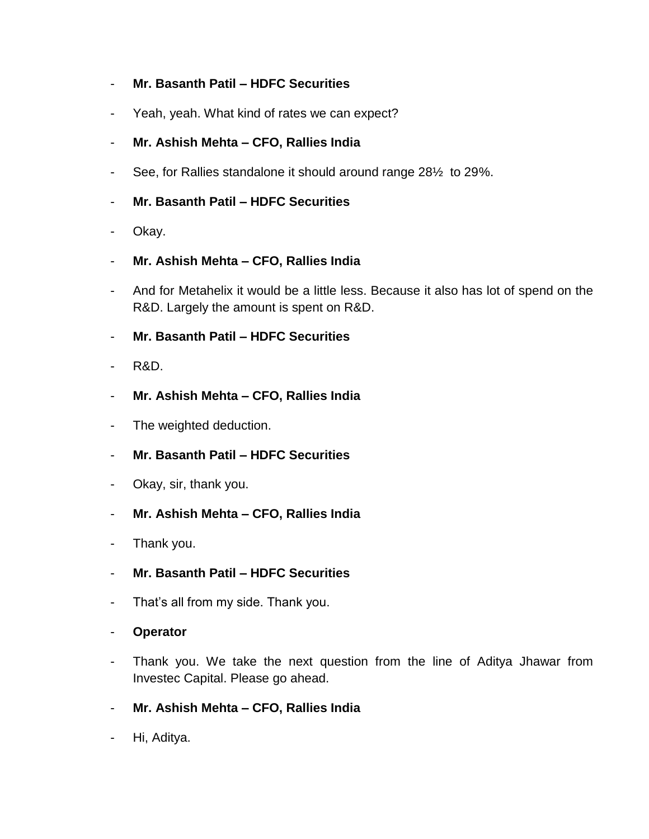## - **Mr. Basanth Patil – HDFC Securities**

- Yeah, yeah. What kind of rates we can expect?
- **Mr. Ashish Mehta – CFO, Rallies India**
- See, for Rallies standalone it should around range 28½ to 29%.
- **Mr. Basanth Patil – HDFC Securities**
- Okay.
- **Mr. Ashish Mehta – CFO, Rallies India**
- And for Metahelix it would be a little less. Because it also has lot of spend on the R&D. Largely the amount is spent on R&D.
- **Mr. Basanth Patil – HDFC Securities**
- R&D.
- **Mr. Ashish Mehta – CFO, Rallies India**
- The weighted deduction.
- **Mr. Basanth Patil – HDFC Securities**
- Okay, sir, thank you.
- **Mr. Ashish Mehta – CFO, Rallies India**
- Thank you.
- **Mr. Basanth Patil – HDFC Securities**
- That's all from my side. Thank you.
- **Operator**
- Thank you. We take the next question from the line of Aditya Jhawar from Investec Capital. Please go ahead.
- **Mr. Ashish Mehta – CFO, Rallies India**
- Hi, Aditya.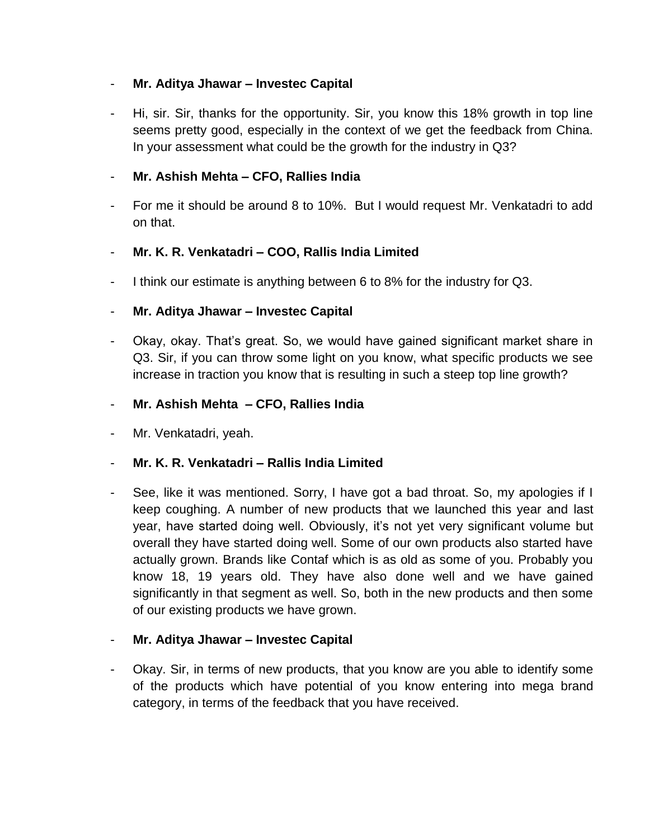## - **Mr. Aditya Jhawar – Investec Capital**

Hi, sir. Sir, thanks for the opportunity. Sir, you know this 18% growth in top line seems pretty good, especially in the context of we get the feedback from China. In your assessment what could be the growth for the industry in Q3?

## - **Mr. Ashish Mehta – CFO, Rallies India**

For me it should be around 8 to 10%. But I would request Mr. Venkatadri to add on that.

## - **Mr. K. R. Venkatadri – COO, Rallis India Limited**

- I think our estimate is anything between 6 to 8% for the industry for Q3.

### - **Mr. Aditya Jhawar – Investec Capital**

- Okay, okay. That's great. So, we would have gained significant market share in Q3. Sir, if you can throw some light on you know, what specific products we see increase in traction you know that is resulting in such a steep top line growth?

### - **Mr. Ashish Mehta – CFO, Rallies India**

Mr. Venkatadri, yeah.

#### - **Mr. K. R. Venkatadri – Rallis India Limited**

See, like it was mentioned. Sorry, I have got a bad throat. So, my apologies if I keep coughing. A number of new products that we launched this year and last year, have started doing well. Obviously, it's not yet very significant volume but overall they have started doing well. Some of our own products also started have actually grown. Brands like Contaf which is as old as some of you. Probably you know 18, 19 years old. They have also done well and we have gained significantly in that segment as well. So, both in the new products and then some of our existing products we have grown.

## - **Mr. Aditya Jhawar – Investec Capital**

- Okay. Sir, in terms of new products, that you know are you able to identify some of the products which have potential of you know entering into mega brand category, in terms of the feedback that you have received.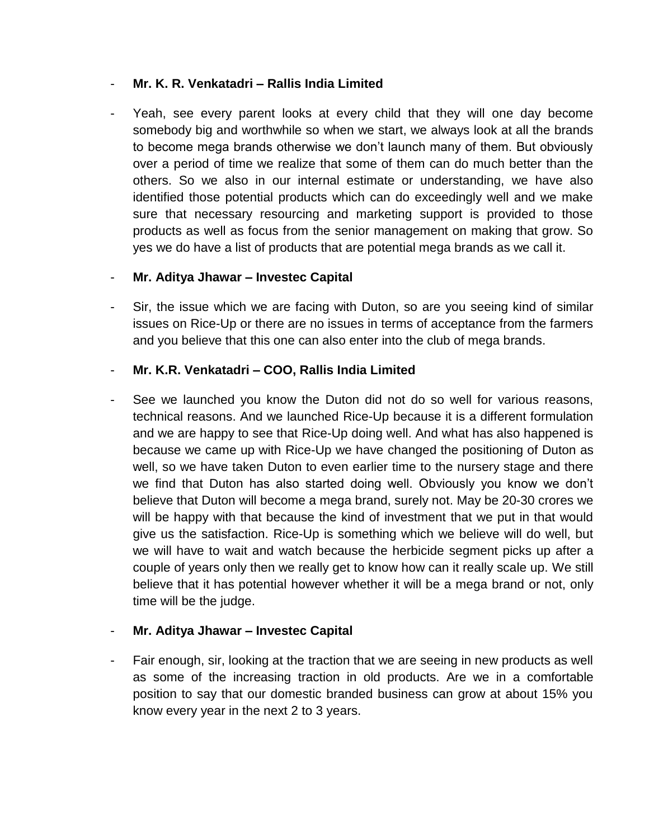## - **Mr. K. R. Venkatadri – Rallis India Limited**

Yeah, see every parent looks at every child that they will one day become somebody big and worthwhile so when we start, we always look at all the brands to become mega brands otherwise we don't launch many of them. But obviously over a period of time we realize that some of them can do much better than the others. So we also in our internal estimate or understanding, we have also identified those potential products which can do exceedingly well and we make sure that necessary resourcing and marketing support is provided to those products as well as focus from the senior management on making that grow. So yes we do have a list of products that are potential mega brands as we call it.

## - **Mr. Aditya Jhawar – Investec Capital**

Sir, the issue which we are facing with Duton, so are you seeing kind of similar issues on Rice-Up or there are no issues in terms of acceptance from the farmers and you believe that this one can also enter into the club of mega brands.

### - **Mr. K.R. Venkatadri – COO, Rallis India Limited**

See we launched you know the Duton did not do so well for various reasons, technical reasons. And we launched Rice-Up because it is a different formulation and we are happy to see that Rice-Up doing well. And what has also happened is because we came up with Rice-Up we have changed the positioning of Duton as well, so we have taken Duton to even earlier time to the nursery stage and there we find that Duton has also started doing well. Obviously you know we don't believe that Duton will become a mega brand, surely not. May be 20-30 crores we will be happy with that because the kind of investment that we put in that would give us the satisfaction. Rice-Up is something which we believe will do well, but we will have to wait and watch because the herbicide segment picks up after a couple of years only then we really get to know how can it really scale up. We still believe that it has potential however whether it will be a mega brand or not, only time will be the judge.

#### - **Mr. Aditya Jhawar – Investec Capital**

Fair enough, sir, looking at the traction that we are seeing in new products as well as some of the increasing traction in old products. Are we in a comfortable position to say that our domestic branded business can grow at about 15% you know every year in the next 2 to 3 years.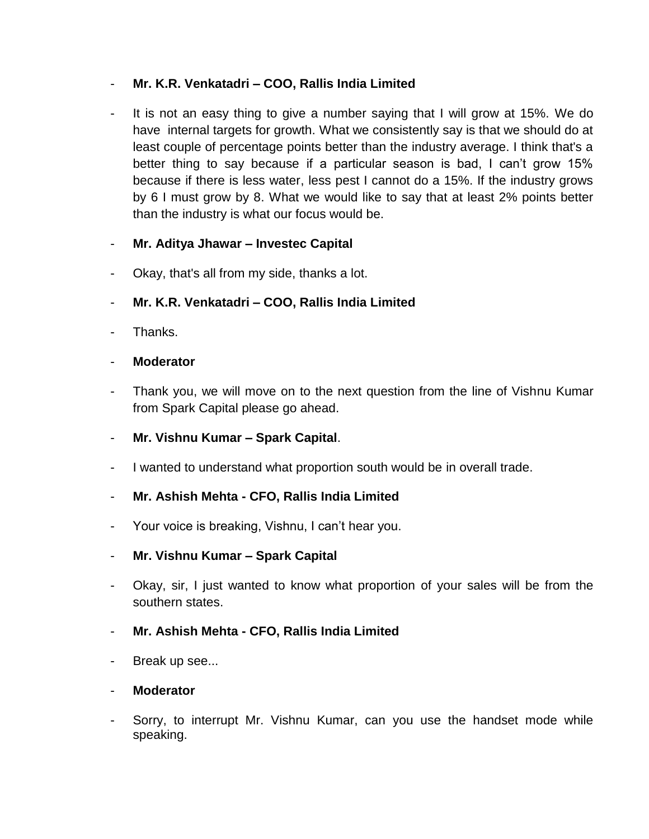## - **Mr. K.R. Venkatadri – COO, Rallis India Limited**

It is not an easy thing to give a number saying that I will grow at 15%. We do have internal targets for growth. What we consistently say is that we should do at least couple of percentage points better than the industry average. I think that's a better thing to say because if a particular season is bad, I can't grow 15% because if there is less water, less pest I cannot do a 15%. If the industry grows by 6 I must grow by 8. What we would like to say that at least 2% points better than the industry is what our focus would be.

## - **Mr. Aditya Jhawar – Investec Capital**

- Okay, that's all from my side, thanks a lot.
- **Mr. K.R. Venkatadri – COO, Rallis India Limited**
- Thanks.
- **Moderator**
- Thank you, we will move on to the next question from the line of Vishnu Kumar from Spark Capital please go ahead.
- **Mr. Vishnu Kumar – Spark Capital**.
- I wanted to understand what proportion south would be in overall trade.

## - **Mr. Ashish Mehta - CFO, Rallis India Limited**

- Your voice is breaking, Vishnu, I can't hear you.
- **Mr. Vishnu Kumar – Spark Capital**
- Okay, sir, I just wanted to know what proportion of your sales will be from the southern states.

#### - **Mr. Ashish Mehta - CFO, Rallis India Limited**

- Break up see...

#### - **Moderator**

Sorry, to interrupt Mr. Vishnu Kumar, can you use the handset mode while speaking.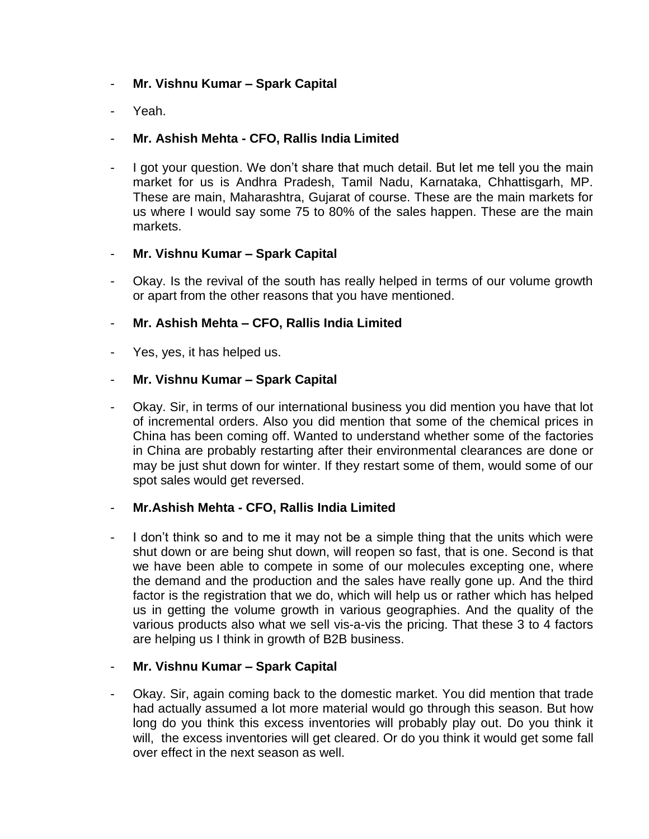### - **Mr. Vishnu Kumar – Spark Capital**

Yeah.

### - **Mr. Ashish Mehta - CFO, Rallis India Limited**

I got your question. We don't share that much detail. But let me tell you the main market for us is Andhra Pradesh, Tamil Nadu, Karnataka, Chhattisgarh, MP. These are main, Maharashtra, Gujarat of course. These are the main markets for us where I would say some 75 to 80% of the sales happen. These are the main markets.

#### - **Mr. Vishnu Kumar – Spark Capital**

Okay. Is the revival of the south has really helped in terms of our volume growth or apart from the other reasons that you have mentioned.

### - **Mr. Ashish Mehta – CFO, Rallis India Limited**

Yes, yes, it has helped us.

### - **Mr. Vishnu Kumar – Spark Capital**

- Okay. Sir, in terms of our international business you did mention you have that lot of incremental orders. Also you did mention that some of the chemical prices in China has been coming off. Wanted to understand whether some of the factories in China are probably restarting after their environmental clearances are done or may be just shut down for winter. If they restart some of them, would some of our spot sales would get reversed.

#### - **Mr.Ashish Mehta - CFO, Rallis India Limited**

I don't think so and to me it may not be a simple thing that the units which were shut down or are being shut down, will reopen so fast, that is one. Second is that we have been able to compete in some of our molecules excepting one, where the demand and the production and the sales have really gone up. And the third factor is the registration that we do, which will help us or rather which has helped us in getting the volume growth in various geographies. And the quality of the various products also what we sell vis-a-vis the pricing. That these 3 to 4 factors are helping us I think in growth of B2B business.

#### - **Mr. Vishnu Kumar – Spark Capital**

- Okay. Sir, again coming back to the domestic market. You did mention that trade had actually assumed a lot more material would go through this season. But how long do you think this excess inventories will probably play out. Do you think it will, the excess inventories will get cleared. Or do you think it would get some fall over effect in the next season as well.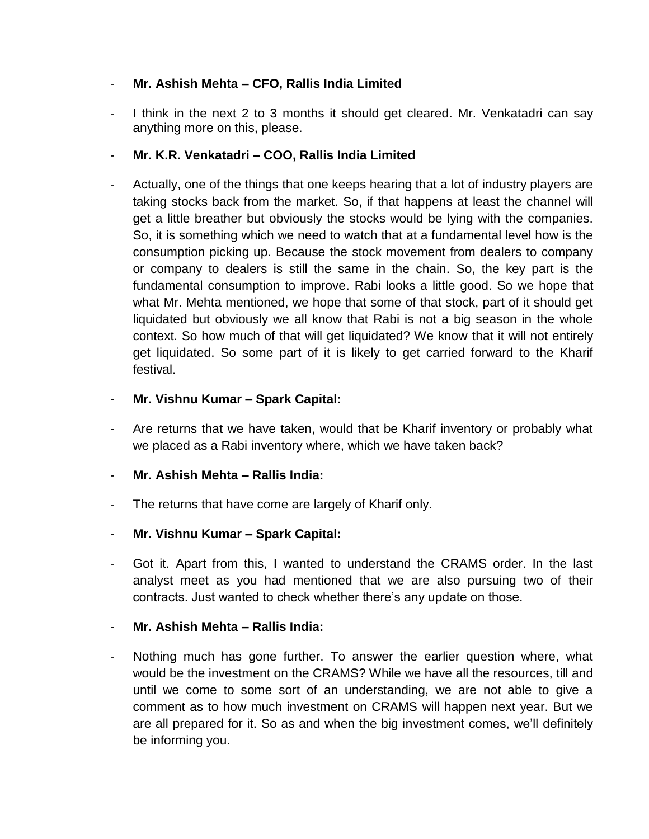## - **Mr. Ashish Mehta – CFO, Rallis India Limited**

- I think in the next 2 to 3 months it should get cleared. Mr. Venkatadri can say anything more on this, please.
- **Mr. K.R. Venkatadri – COO, Rallis India Limited**
- Actually, one of the things that one keeps hearing that a lot of industry players are taking stocks back from the market. So, if that happens at least the channel will get a little breather but obviously the stocks would be lying with the companies. So, it is something which we need to watch that at a fundamental level how is the consumption picking up. Because the stock movement from dealers to company or company to dealers is still the same in the chain. So, the key part is the fundamental consumption to improve. Rabi looks a little good. So we hope that what Mr. Mehta mentioned, we hope that some of that stock, part of it should get liquidated but obviously we all know that Rabi is not a big season in the whole context. So how much of that will get liquidated? We know that it will not entirely get liquidated. So some part of it is likely to get carried forward to the Kharif festival.

## - **Mr. Vishnu Kumar – Spark Capital:**

- Are returns that we have taken, would that be Kharif inventory or probably what we placed as a Rabi inventory where, which we have taken back?
- **Mr. Ashish Mehta – Rallis India:**
- The returns that have come are largely of Kharif only.
- **Mr. Vishnu Kumar – Spark Capital:**
- Got it. Apart from this, I wanted to understand the CRAMS order. In the last analyst meet as you had mentioned that we are also pursuing two of their contracts. Just wanted to check whether there's any update on those.
- **Mr. Ashish Mehta – Rallis India:**
- Nothing much has gone further. To answer the earlier question where, what would be the investment on the CRAMS? While we have all the resources, till and until we come to some sort of an understanding, we are not able to give a comment as to how much investment on CRAMS will happen next year. But we are all prepared for it. So as and when the big investment comes, we'll definitely be informing you.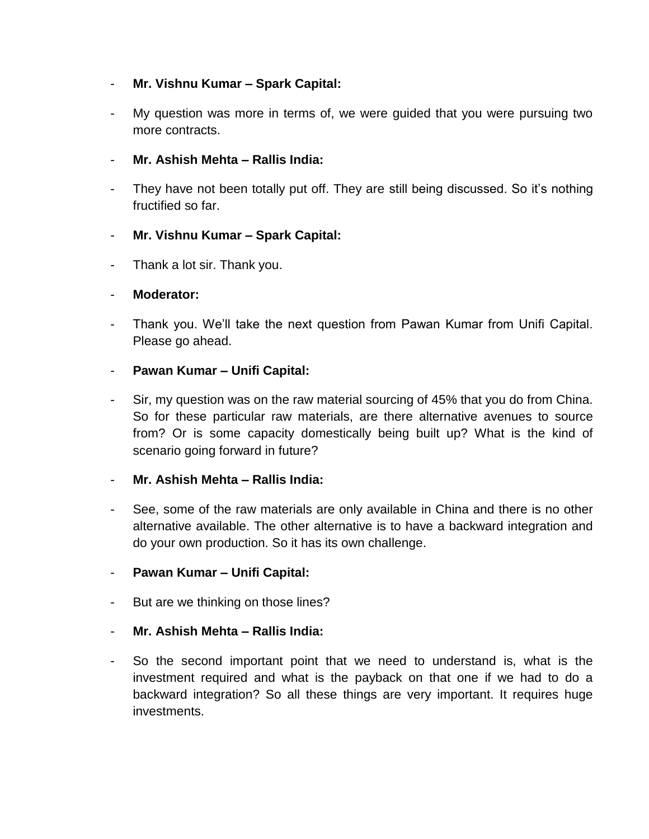## - **Mr. Vishnu Kumar – Spark Capital:**

My question was more in terms of, we were quided that you were pursuing two more contracts.

## - **Mr. Ashish Mehta – Rallis India:**

They have not been totally put off. They are still being discussed. So it's nothing fructified so far.

### - **Mr. Vishnu Kumar – Spark Capital:**

- Thank a lot sir. Thank you.

### - **Moderator:**

- Thank you. We'll take the next question from Pawan Kumar from Unifi Capital. Please go ahead.

### - **Pawan Kumar – Unifi Capital:**

Sir, my question was on the raw material sourcing of 45% that you do from China. So for these particular raw materials, are there alternative avenues to source from? Or is some capacity domestically being built up? What is the kind of scenario going forward in future?

#### - **Mr. Ashish Mehta – Rallis India:**

- See, some of the raw materials are only available in China and there is no other alternative available. The other alternative is to have a backward integration and do your own production. So it has its own challenge.

#### - **Pawan Kumar – Unifi Capital:**

- But are we thinking on those lines?

#### - **Mr. Ashish Mehta – Rallis India:**

- So the second important point that we need to understand is, what is the investment required and what is the payback on that one if we had to do a backward integration? So all these things are very important. It requires huge investments.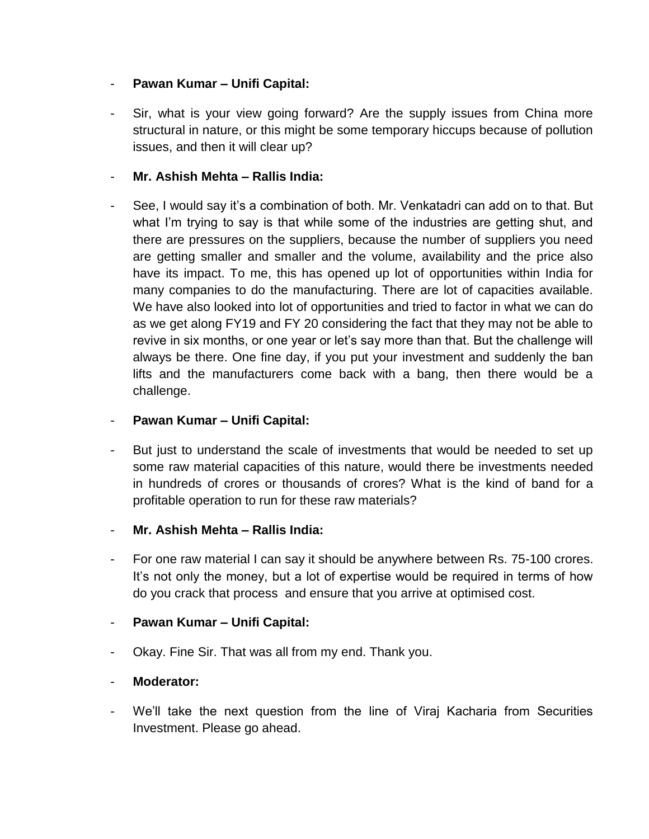### - **Pawan Kumar – Unifi Capital:**

Sir, what is your view going forward? Are the supply issues from China more structural in nature, or this might be some temporary hiccups because of pollution issues, and then it will clear up?

## - **Mr. Ashish Mehta – Rallis India:**

See, I would say it's a combination of both. Mr. Venkatadri can add on to that. But what I'm trying to say is that while some of the industries are getting shut, and there are pressures on the suppliers, because the number of suppliers you need are getting smaller and smaller and the volume, availability and the price also have its impact. To me, this has opened up lot of opportunities within India for many companies to do the manufacturing. There are lot of capacities available. We have also looked into lot of opportunities and tried to factor in what we can do as we get along FY19 and FY 20 considering the fact that they may not be able to revive in six months, or one year or let's say more than that. But the challenge will always be there. One fine day, if you put your investment and suddenly the ban lifts and the manufacturers come back with a bang, then there would be a challenge.

### - **Pawan Kumar – Unifi Capital:**

- But just to understand the scale of investments that would be needed to set up some raw material capacities of this nature, would there be investments needed in hundreds of crores or thousands of crores? What is the kind of band for a profitable operation to run for these raw materials?
- **Mr. Ashish Mehta – Rallis India:**
- For one raw material I can say it should be anywhere between Rs. 75-100 crores. It's not only the money, but a lot of expertise would be required in terms of how do you crack that process and ensure that you arrive at optimised cost.

#### - **Pawan Kumar – Unifi Capital:**

Okay. Fine Sir. That was all from my end. Thank you.

## - **Moderator:**

- We'll take the next question from the line of Viraj Kacharia from Securities Investment. Please go ahead.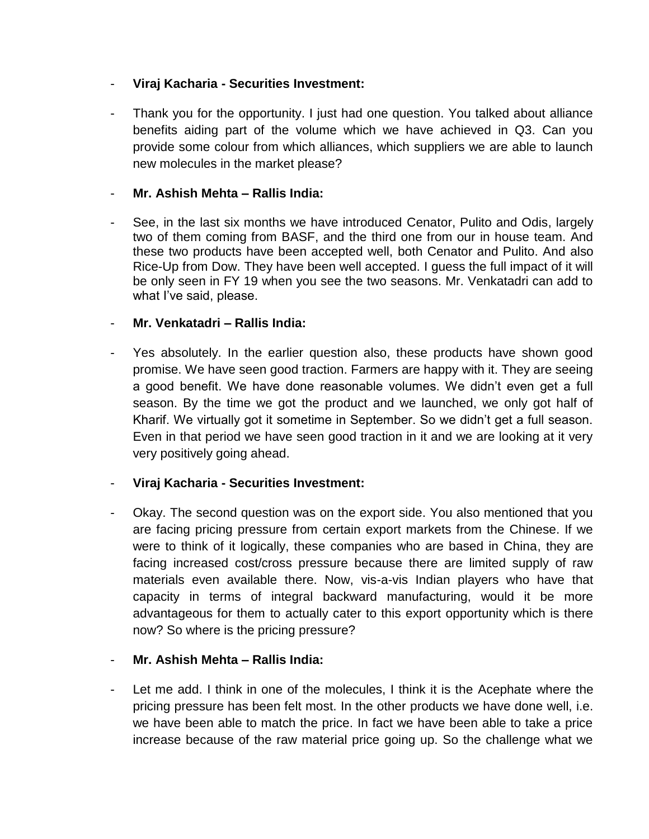## - **Viraj Kacharia - Securities Investment:**

- Thank you for the opportunity. I just had one question. You talked about alliance benefits aiding part of the volume which we have achieved in Q3. Can you provide some colour from which alliances, which suppliers we are able to launch new molecules in the market please?

### - **Mr. Ashish Mehta – Rallis India:**

See, in the last six months we have introduced Cenator, Pulito and Odis, largely two of them coming from BASF, and the third one from our in house team. And these two products have been accepted well, both Cenator and Pulito. And also Rice-Up from Dow. They have been well accepted. I guess the full impact of it will be only seen in FY 19 when you see the two seasons. Mr. Venkatadri can add to what I've said, please.

### - **Mr. Venkatadri – Rallis India:**

- Yes absolutely. In the earlier question also, these products have shown good promise. We have seen good traction. Farmers are happy with it. They are seeing a good benefit. We have done reasonable volumes. We didn't even get a full season. By the time we got the product and we launched, we only got half of Kharif. We virtually got it sometime in September. So we didn't get a full season. Even in that period we have seen good traction in it and we are looking at it very very positively going ahead.

## - **Viraj Kacharia - Securities Investment:**

- Okay. The second question was on the export side. You also mentioned that you are facing pricing pressure from certain export markets from the Chinese. If we were to think of it logically, these companies who are based in China, they are facing increased cost/cross pressure because there are limited supply of raw materials even available there. Now, vis-a-vis Indian players who have that capacity in terms of integral backward manufacturing, would it be more advantageous for them to actually cater to this export opportunity which is there now? So where is the pricing pressure?

#### - **Mr. Ashish Mehta – Rallis India:**

Let me add. I think in one of the molecules, I think it is the Acephate where the pricing pressure has been felt most. In the other products we have done well, i.e. we have been able to match the price. In fact we have been able to take a price increase because of the raw material price going up. So the challenge what we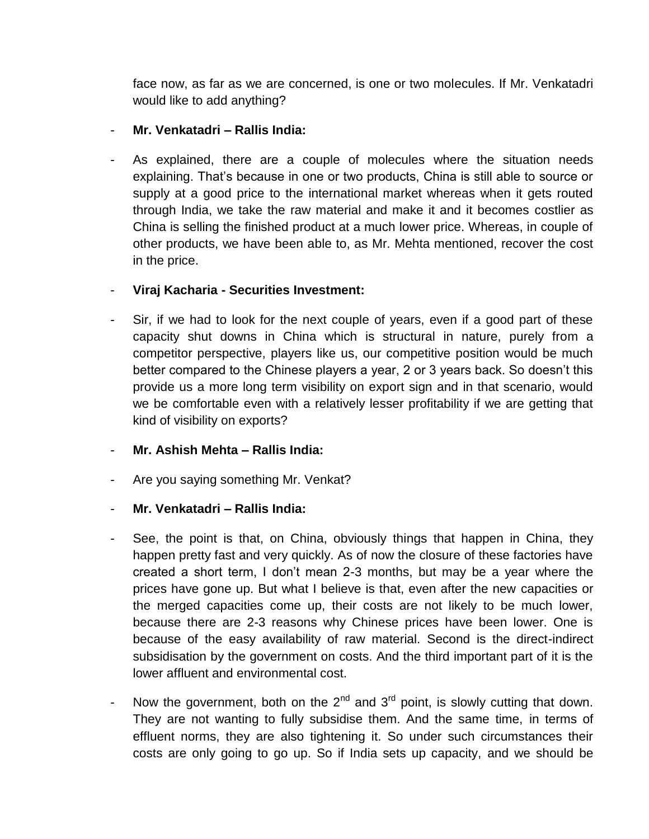face now, as far as we are concerned, is one or two molecules. If Mr. Venkatadri would like to add anything?

### - **Mr. Venkatadri – Rallis India:**

As explained, there are a couple of molecules where the situation needs explaining. That's because in one or two products, China is still able to source or supply at a good price to the international market whereas when it gets routed through India, we take the raw material and make it and it becomes costlier as China is selling the finished product at a much lower price. Whereas, in couple of other products, we have been able to, as Mr. Mehta mentioned, recover the cost in the price.

### - **Viraj Kacharia - Securities Investment:**

- Sir, if we had to look for the next couple of years, even if a good part of these capacity shut downs in China which is structural in nature, purely from a competitor perspective, players like us, our competitive position would be much better compared to the Chinese players a year, 2 or 3 years back. So doesn't this provide us a more long term visibility on export sign and in that scenario, would we be comfortable even with a relatively lesser profitability if we are getting that kind of visibility on exports?
- **Mr. Ashish Mehta – Rallis India:**
- Are you saying something Mr. Venkat?
- **Mr. Venkatadri – Rallis India:**
- See, the point is that, on China, obviously things that happen in China, they happen pretty fast and very quickly. As of now the closure of these factories have created a short term, I don't mean 2-3 months, but may be a year where the prices have gone up. But what I believe is that, even after the new capacities or the merged capacities come up, their costs are not likely to be much lower, because there are 2-3 reasons why Chinese prices have been lower. One is because of the easy availability of raw material. Second is the direct-indirect subsidisation by the government on costs. And the third important part of it is the lower affluent and environmental cost.
- Now the government, both on the  $2<sup>nd</sup>$  and  $3<sup>rd</sup>$  point, is slowly cutting that down. They are not wanting to fully subsidise them. And the same time, in terms of effluent norms, they are also tightening it. So under such circumstances their costs are only going to go up. So if India sets up capacity, and we should be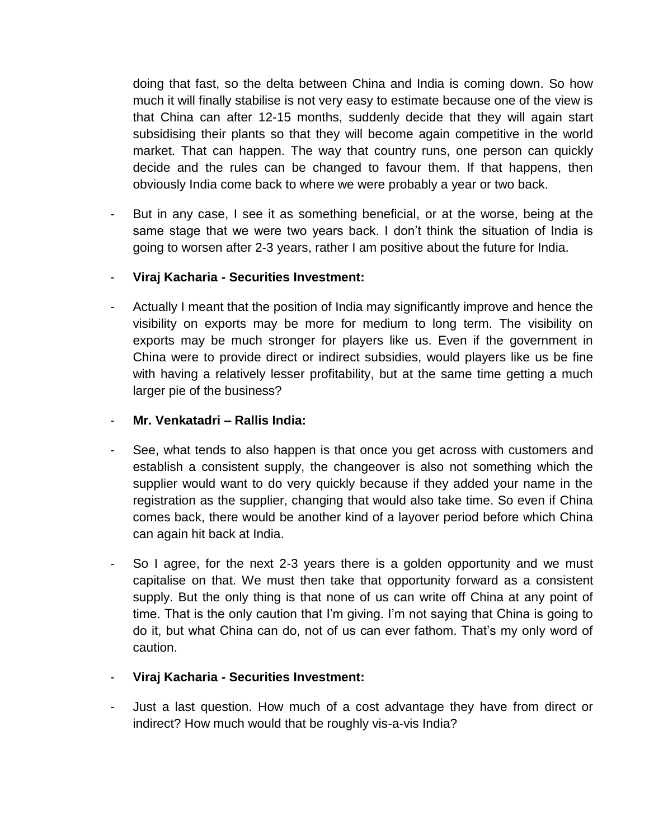doing that fast, so the delta between China and India is coming down. So how much it will finally stabilise is not very easy to estimate because one of the view is that China can after 12-15 months, suddenly decide that they will again start subsidising their plants so that they will become again competitive in the world market. That can happen. The way that country runs, one person can quickly decide and the rules can be changed to favour them. If that happens, then obviously India come back to where we were probably a year or two back.

- But in any case, I see it as something beneficial, or at the worse, being at the same stage that we were two years back. I don't think the situation of India is going to worsen after 2-3 years, rather I am positive about the future for India.
- **Viraj Kacharia - Securities Investment:**
- Actually I meant that the position of India may significantly improve and hence the visibility on exports may be more for medium to long term. The visibility on exports may be much stronger for players like us. Even if the government in China were to provide direct or indirect subsidies, would players like us be fine with having a relatively lesser profitability, but at the same time getting a much larger pie of the business?
- **Mr. Venkatadri – Rallis India:**
- See, what tends to also happen is that once you get across with customers and establish a consistent supply, the changeover is also not something which the supplier would want to do very quickly because if they added your name in the registration as the supplier, changing that would also take time. So even if China comes back, there would be another kind of a layover period before which China can again hit back at India.
- So I agree, for the next 2-3 years there is a golden opportunity and we must capitalise on that. We must then take that opportunity forward as a consistent supply. But the only thing is that none of us can write off China at any point of time. That is the only caution that I'm giving. I'm not saying that China is going to do it, but what China can do, not of us can ever fathom. That's my only word of caution.
- **Viraj Kacharia - Securities Investment:**
- Just a last question. How much of a cost advantage they have from direct or indirect? How much would that be roughly vis-a-vis India?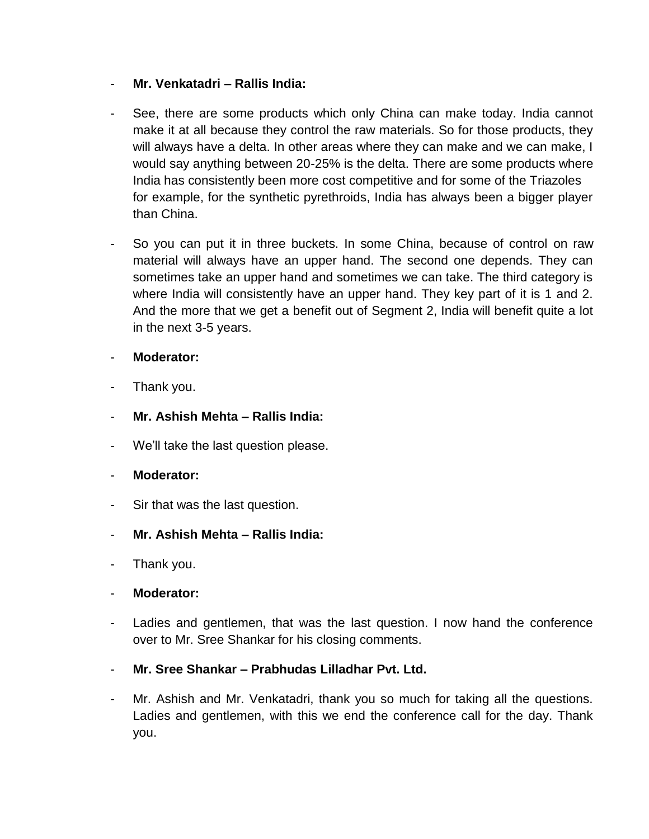### - **Mr. Venkatadri – Rallis India:**

- See, there are some products which only China can make today. India cannot make it at all because they control the raw materials. So for those products, they will always have a delta. In other areas where they can make and we can make, I would say anything between 20-25% is the delta. There are some products where India has consistently been more cost competitive and for some of the Triazoles for example, for the synthetic pyrethroids, India has always been a bigger player than China.
- So you can put it in three buckets. In some China, because of control on raw material will always have an upper hand. The second one depends. They can sometimes take an upper hand and sometimes we can take. The third category is where India will consistently have an upper hand. They key part of it is 1 and 2. And the more that we get a benefit out of Segment 2, India will benefit quite a lot in the next 3-5 years.

### - **Moderator:**

- Thank you.
- **Mr. Ashish Mehta – Rallis India:**
- We'll take the last question please.
- **Moderator:**
- Sir that was the last question.
- **Mr. Ashish Mehta – Rallis India:**
- Thank you.
- **Moderator:**
- Ladies and gentlemen, that was the last question. I now hand the conference over to Mr. Sree Shankar for his closing comments.
- **Mr. Sree Shankar – Prabhudas Lilladhar Pvt. Ltd.**
- Mr. Ashish and Mr. Venkatadri, thank you so much for taking all the questions. Ladies and gentlemen, with this we end the conference call for the day. Thank you.